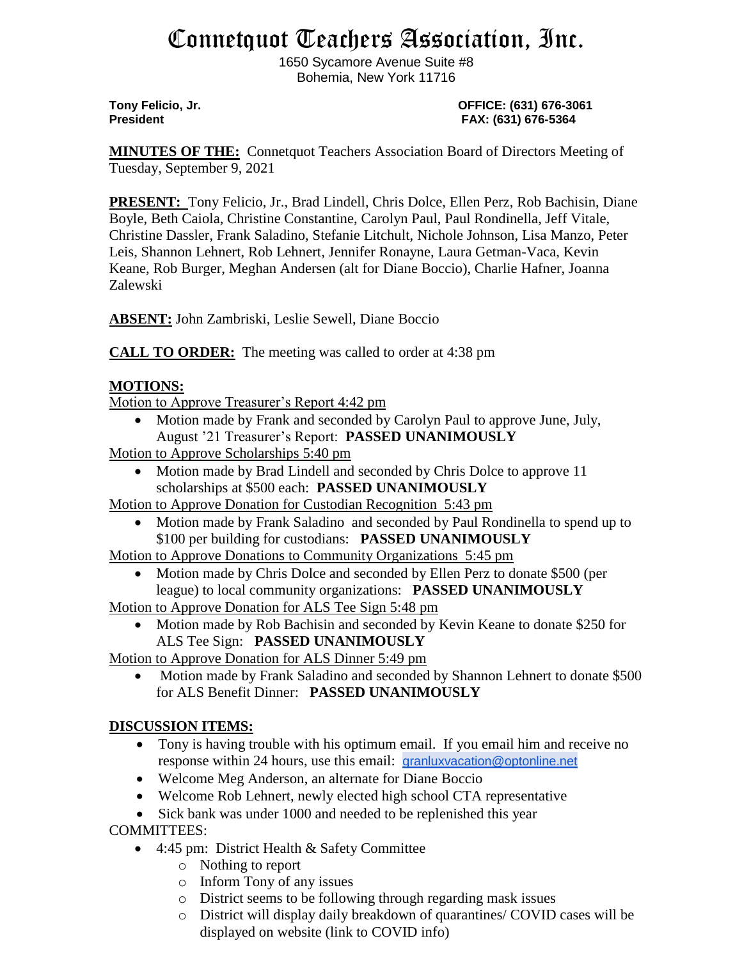# Connetquot Teachers Association, Inc.

1650 Sycamore Avenue Suite #8 Bohemia, New York 11716

**Tony Felicio, Jr. OFFICE: (631) 676-3061 President FAX: (631) 676-5364**

**MINUTES OF THE:** Connetquot Teachers Association Board of Directors Meeting of Tuesday, September 9, 2021

**PRESENT:** Tony Felicio, Jr., Brad Lindell, Chris Dolce, Ellen Perz, Rob Bachisin, Diane Boyle, Beth Caiola, Christine Constantine, Carolyn Paul, Paul Rondinella, Jeff Vitale, Christine Dassler, Frank Saladino, Stefanie Litchult, Nichole Johnson, Lisa Manzo, Peter Leis, Shannon Lehnert, Rob Lehnert, Jennifer Ronayne, Laura Getman-Vaca, Kevin Keane, Rob Burger, Meghan Andersen (alt for Diane Boccio), Charlie Hafner, Joanna Zalewski

**ABSENT:** John Zambriski, Leslie Sewell, Diane Boccio

**CALL TO ORDER:** The meeting was called to order at 4:38 pm

### **MOTIONS:**

Motion to Approve Treasurer's Report 4:42 pm

• Motion made by Frank and seconded by Carolyn Paul to approve June, July, August '21 Treasurer's Report: **PASSED UNANIMOUSLY**

Motion to Approve Scholarships 5:40 pm

 Motion made by Brad Lindell and seconded by Chris Dolce to approve 11 scholarships at \$500 each: **PASSED UNANIMOUSLY**

Motion to Approve Donation for Custodian Recognition 5:43 pm

 Motion made by Frank Saladino and seconded by Paul Rondinella to spend up to \$100 per building for custodians: **PASSED UNANIMOUSLY**

Motion to Approve Donations to Community Organizations 5:45 pm

• Motion made by Chris Dolce and seconded by Ellen Perz to donate \$500 (per league) to local community organizations: **PASSED UNANIMOUSLY**

Motion to Approve Donation for ALS Tee Sign 5:48 pm

• Motion made by Rob Bachisin and seconded by Kevin Keane to donate \$250 for ALS Tee Sign: **PASSED UNANIMOUSLY**

Motion to Approve Donation for ALS Dinner 5:49 pm

 Motion made by Frank Saladino and seconded by Shannon Lehnert to donate \$500 for ALS Benefit Dinner: **PASSED UNANIMOUSLY**

## **DISCUSSION ITEMS:**

- Tony is having trouble with his optimum email. If you email him and receive no response within 24 hours, use this email: [granluxvacation@optonline.net](mailto:granluxvacation@optonline.net)
- Welcome Meg Anderson, an alternate for Diane Boccio
- Welcome Rob Lehnert, newly elected high school CTA representative

• Sick bank was under 1000 and needed to be replenished this year

COMMITTEES:

- 4:45 pm: District Health & Safety Committee
	- o Nothing to report
	- o Inform Tony of any issues
	- o District seems to be following through regarding mask issues
	- o District will display daily breakdown of quarantines/ COVID cases will be displayed on website (link to COVID info)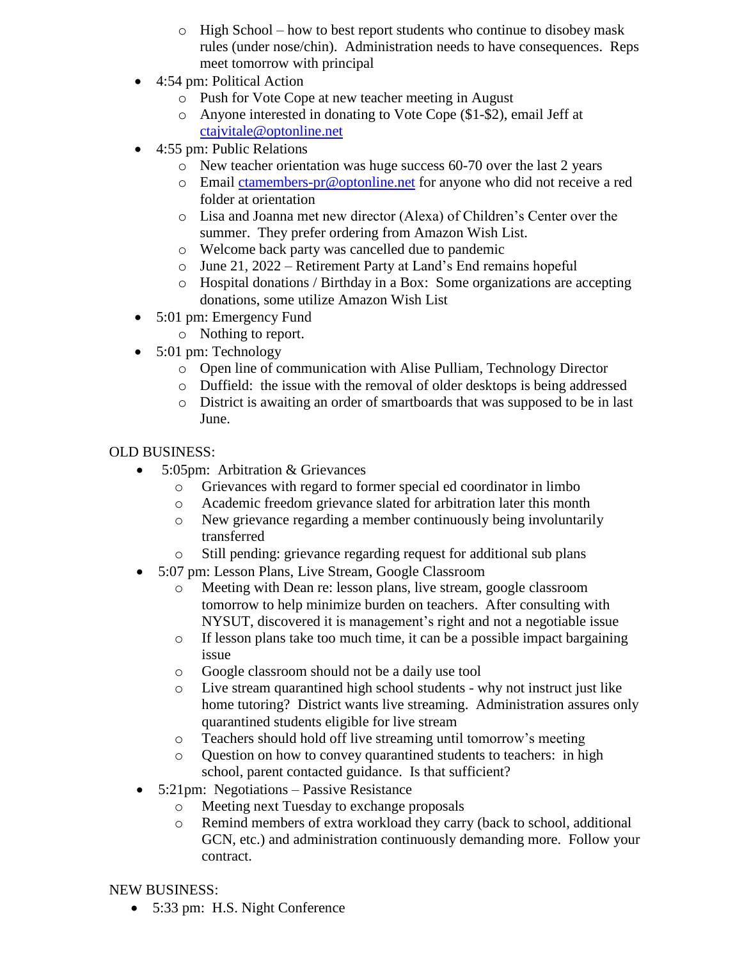- o High School how to best report students who continue to disobey mask rules (under nose/chin). Administration needs to have consequences. Reps meet tomorrow with principal
- 4:54 pm: Political Action
	- o Push for Vote Cope at new teacher meeting in August
	- o Anyone interested in donating to Vote Cope (\$1-\$2), email Jeff at [ctajvitale@optonline.net](mailto:ctajvitale@optonline.net)
- 4:55 pm: Public Relations
	- o New teacher orientation was huge success 60-70 over the last 2 years
	- o Email [ctamembers-pr@optonline.net](mailto:ctamembers-pr@optonline.net) for anyone who did not receive a red folder at orientation
	- o Lisa and Joanna met new director (Alexa) of Children's Center over the summer. They prefer ordering from Amazon Wish List.
	- o Welcome back party was cancelled due to pandemic
	- o June 21, 2022 Retirement Party at Land's End remains hopeful
	- o Hospital donations / Birthday in a Box: Some organizations are accepting donations, some utilize Amazon Wish List
- 5:01 pm: Emergency Fund
	- o Nothing to report.
- 5:01 pm: Technology
	- o Open line of communication with Alise Pulliam, Technology Director
	- o Duffield: the issue with the removal of older desktops is being addressed
	- o District is awaiting an order of smartboards that was supposed to be in last June.

## OLD BUSINESS:

- 5:05pm: Arbitration & Grievances
	- o Grievances with regard to former special ed coordinator in limbo
	- o Academic freedom grievance slated for arbitration later this month
	- o New grievance regarding a member continuously being involuntarily transferred
	- o Still pending: grievance regarding request for additional sub plans
- 5:07 pm: Lesson Plans, Live Stream, Google Classroom
	- o Meeting with Dean re: lesson plans, live stream, google classroom tomorrow to help minimize burden on teachers. After consulting with NYSUT, discovered it is management's right and not a negotiable issue
	- o If lesson plans take too much time, it can be a possible impact bargaining issue
	- o Google classroom should not be a daily use tool
	- o Live stream quarantined high school students why not instruct just like home tutoring? District wants live streaming. Administration assures only quarantined students eligible for live stream
	- o Teachers should hold off live streaming until tomorrow's meeting
	- o Question on how to convey quarantined students to teachers: in high school, parent contacted guidance. Is that sufficient?
- 5:21pm: Negotiations Passive Resistance
	- o Meeting next Tuesday to exchange proposals
	- o Remind members of extra workload they carry (back to school, additional GCN, etc.) and administration continuously demanding more. Follow your contract.

NEW BUSINESS:

5:33 pm: H.S. Night Conference